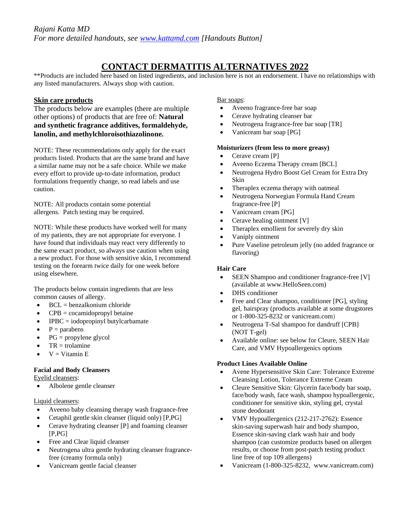# **CONTACT DERMATITIS ALTERNATIVES 2022**

\*\*Products are included here based on listed ingredients, and inclusion here is not an endorsement. I have no relationships with any listed manufacturers. Always shop with caution.

# **Skin care products**

The products below are examples (there are multiple other options) of products that are free of: **Natural and synthetic fragrance additives, formaldehyde, lanolin, and methylchloroisothiazolinone.**

NOTE: These recommendations only apply for the exact products listed. Products that are the same brand and have a similar name may not be a safe choice. While we make every effort to provide up-to-date information, product formulations frequently change, so read labels and use caution.

NOTE: All products contain some potential allergens. Patch testing may be required.

NOTE: While these products have worked well for many of my patients, they are not appropriate for everyone. I have found that individuals may react very differently to the same exact product, so always use caution when using a new product. For those with sensitive skin, I recommend testing on the forearm twice daily for one week before using elsewhere.

The products below contain ingredients that are less common causes of allergy.

- $\bullet$  BCL = benzalkonium chloride
- $CPB = cocamidopropy1$  betaine
- IPBC = iodopropinyl butylcarbamate
- $\bullet$  P = parabens
- $PG = propylene glycol$
- $\bullet$  TR = trolamine
- $V = V$ itamin E

# **Facial and Body Cleansers**

Eyelid cleansers:

• Albolene gentle cleanser

# Liquid cleansers:

- Aveeno baby cleansing therapy wash fragrance-free
- Cetaphil gentle skin cleanser (liquid only) [P,PG]
- Cerave hydrating cleanser [P] and foaming cleanser  $[P,PG]$
- Free and Clear liquid cleanser
- Neutrogena ultra gentle hydrating cleanser fragrancefree (creamy formula only)
- Vanicream gentle facial cleanser

## Bar soaps:

- Aveeno fragrance-free bar soap
- Cerave hydrating cleanser bar
- Neutrogena fragrance-free bar soap [TR]
- Vanicream bar soap [PG]

#### **Moisturizers (from less to more greasy)**

- Cerave cream [P]
- Aveeno Eczema Therapy cream [BCL]
- Neutrogena Hydro Boost Gel Cream for Extra Dry Skin
- Theraplex eczema therapy with oatmeal
- Neutrogena Norwegian Formula Hand Cream fragrance-free [P]
- Vanicream cream [PG]
- Cerave healing ointment [V]
- Theraplex emollient for severely dry skin
- Vaniply ointment
- Pure Vaseline petroleum jelly (no added fragrance or flavoring)

# **Hair Care**

- SEEN Shampoo and conditioner fragrance-free [V] (available at www.HelloSeen.com)
- DHS conditioner
- Free and Clear shampoo, conditioner [PG], styling gel, hairspray (products available at some drugstores or 1-800-325-8232 or vanicream.com)
- Neutrogena T-Sal shampoo for dandruff [CPB] (NOT T-gel)
- Available online: see below for Cleure, SEEN Hair Care, and VMV Hypoallergenics options

# **Product Lines Available Online**

- Avene Hypersensitive Skin Care: Tolerance Extreme Cleansing Lotion, Tolerance Extreme Cream
- Cleure Sensitive Skin: Glycerin face/body bar soap, face/body wash, face wash, shampoo hypoallergenic, conditioner for sensitive skin, styling gel, crystal stone deodorant
- VMV Hypoallergenics (212-217-2762): Essence skin-saving superwash hair and body shampoo, Essence skin-saving clark wash hair and body shampoo (can customize products based on allergen results, or choose from post-patch testing product line free of top 109 allergens)
- Vanicream (1-800-325-8232, www.vanicream.com)